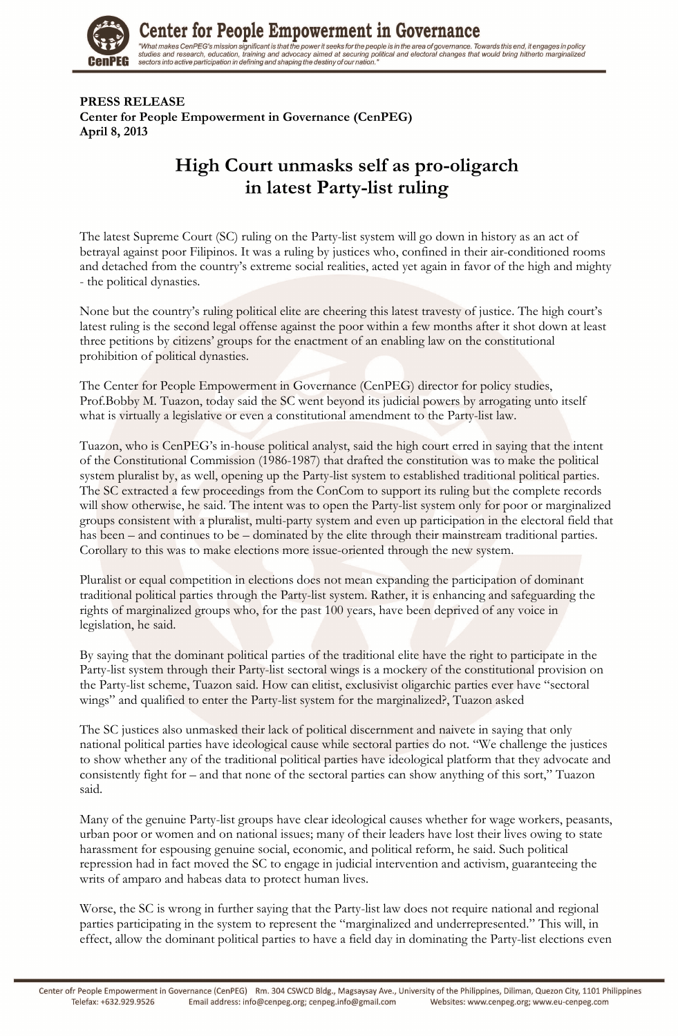

**Center for People Empowerment in Governance** "What makes CenPEG's mission significant is that the power it seeks for the people is in the area of governance. Towards this end, it engages in policy vina inaces cent Expansion significant is that diplomate the securing political and electoral changes that would bring hitherto marginalized<br>sectors into active participation in defining and shaping the destiny of our nati

**PRESS RELEASE Center for People Empowerment in Governance (CenPEG) April 8, 2013** 

## **High Court unmasks self as pro-oligarch in latest Party-list ruling**

The latest Supreme Court (SC) ruling on the Party-list system will go down in history as an act of betrayal against poor Filipinos. It was a ruling by justices who, confined in their air-conditioned rooms and detached from the country's extreme social realities, acted yet again in favor of the high and mighty - the political dynasties.

None but the country's ruling political elite are cheering this latest travesty of justice. The high court's latest ruling is the second legal offense against the poor within a few months after it shot down at least three petitions by citizens' groups for the enactment of an enabling law on the constitutional prohibition of political dynasties.

The Center for People Empowerment in Governance (CenPEG) director for policy studies, Prof.Bobby M. Tuazon, today said the SC went beyond its judicial powers by arrogating unto itself what is virtually a legislative or even a constitutional amendment to the Party-list law.

Tuazon, who is CenPEG's in-house political analyst, said the high court erred in saying that the intent of the Constitutional Commission (1986-1987) that drafted the constitution was to make the political system pluralist by, as well, opening up the Party-list system to established traditional political parties. The SC extracted a few proceedings from the ConCom to support its ruling but the complete records will show otherwise, he said. The intent was to open the Party-list system only for poor or marginalized groups consistent with a pluralist, multi-party system and even up participation in the electoral field that has been – and continues to be – dominated by the elite through their mainstream traditional parties. Corollary to this was to make elections more issue-oriented through the new system.

Pluralist or equal competition in elections does not mean expanding the participation of dominant traditional political parties through the Party-list system. Rather, it is enhancing and safeguarding the rights of marginalized groups who, for the past 100 years, have been deprived of any voice in legislation, he said.

By saying that the dominant political parties of the traditional elite have the right to participate in the Party-list system through their Party-list sectoral wings is a mockery of the constitutional provision on the Party-list scheme, Tuazon said. How can elitist, exclusivist oligarchic parties ever have "sectoral wings" and qualified to enter the Party-list system for the marginalized?, Tuazon asked

The SC justices also unmasked their lack of political discernment and naivete in saying that only national political parties have ideological cause while sectoral parties do not. "We challenge the justices to show whether any of the traditional political parties have ideological platform that they advocate and consistently fight for – and that none of the sectoral parties can show anything of this sort," Tuazon said.

Many of the genuine Party-list groups have clear ideological causes whether for wage workers, peasants, urban poor or women and on national issues; many of their leaders have lost their lives owing to state harassment for espousing genuine social, economic, and political reform, he said. Such political repression had in fact moved the SC to engage in judicial intervention and activism, guaranteeing the writs of amparo and habeas data to protect human lives.

Worse, the SC is wrong in further saying that the Party-list law does not require national and regional parties participating in the system to represent the "marginalized and underrepresented." This will, in effect, allow the dominant political parties to have a field day in dominating the Party-list elections even